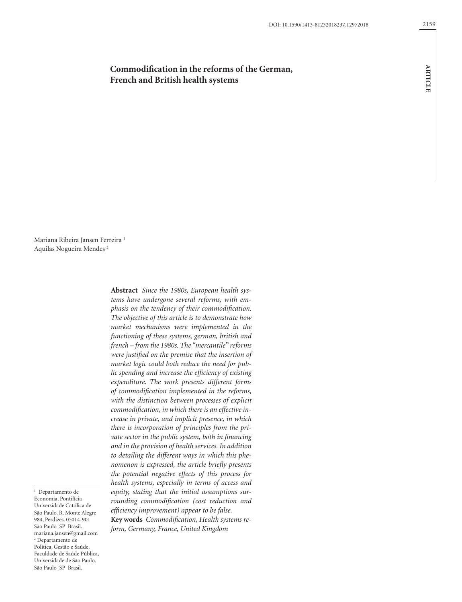# **Commodification in the reforms of the German, French and British health systems**

Mariana Ribeira Jansen Ferreira<sup>1</sup> Aquilas Nogueira Mendes 2

> **Abstract** *Since the 1980s, European health systems have undergone several reforms, with emphasis on the tendency of their commodification. The objective of this article is to demonstrate how market mechanisms were implemented in the functioning of these systems, german, british and french – from the 1980s. The "mercantile" reforms were justified on the premise that the insertion of market logic could both reduce the need for public spending and increase the efficiency of existing expenditure. The work presents different forms of commodification implemented in the reforms, with the distinction between processes of explicit commodification, in which there is an effective increase in private, and implicit presence, in which there is incorporation of principles from the private sector in the public system, both in financing and in the provision of health services. In addition to detailing the different ways in which this phenomenon is expressed, the article briefly presents the potential negative effects of this process for health systems, especially in terms of access and equity, stating that the initial assumptions surrounding commodification (cost reduction and efficiency improvement) appear to be false.* **Key words** *Commodification, Health systems reform, Germany, France, United Kingdom*

<sup>1</sup> Departamento de Economia, Pontifícia Universidade Católica de São Paulo. R. Monte Alegre 984, Perdizes. 05014-901 São Paulo SP Brasil. mariana.jansen@gmail.com 2 Departamento de Política, Gestão e Saúde, Faculdade de Saúde Pública, Universidade de São Paulo. São Paulo SP Brasil.

### 2159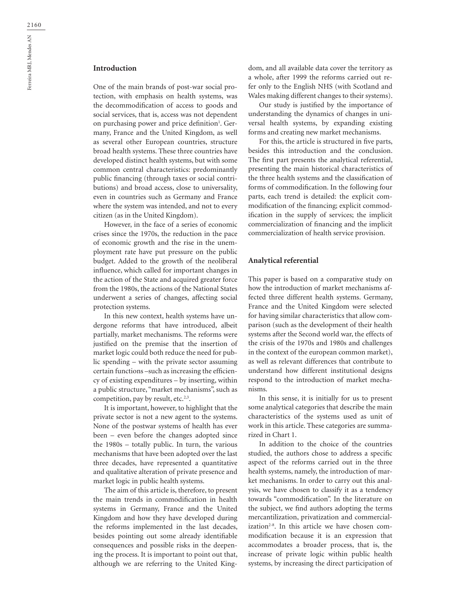## **Introduction**

One of the main brands of post-war social protection, with emphasis on health systems, was the decommodification of access to goods and social services, that is, access was not dependent on purchasing power and price definition<sup>1</sup>. Germany, France and the United Kingdom, as well as several other European countries, structure broad health systems. These three countries have developed distinct health systems, but with some common central characteristics: predominantly public financing (through taxes or social contributions) and broad access, close to universality, even in countries such as Germany and France where the system was intended, and not to every citizen (as in the United Kingdom).

However, in the face of a series of economic crises since the 1970s, the reduction in the pace of economic growth and the rise in the unemployment rate have put pressure on the public budget. Added to the growth of the neoliberal influence, which called for important changes in the action of the State and acquired greater force from the 1980s, the actions of the National States underwent a series of changes, affecting social protection systems.

In this new context, health systems have undergone reforms that have introduced, albeit partially, market mechanisms. The reforms were justified on the premise that the insertion of market logic could both reduce the need for public spending – with the private sector assuming certain functions –such as increasing the efficiency of existing expenditures – by inserting, within a public structure, "market mechanisms", such as competition, pay by result, etc.<sup>2,3</sup>.

It is important, however, to highlight that the private sector is not a new agent to the systems. None of the postwar systems of health has ever been – even before the changes adopted since the 1980s – totally public. In turn, the various mechanisms that have been adopted over the last three decades, have represented a quantitative and qualitative alteration of private presence and market logic in public health systems.

The aim of this article is, therefore, to present the main trends in commodification in health systems in Germany, France and the United Kingdom and how they have developed during the reforms implemented in the last decades, besides pointing out some already identifiable consequences and possible risks in the deepening the process. It is important to point out that, although we are referring to the United Kingdom, and all available data cover the territory as a whole, after 1999 the reforms carried out refer only to the English NHS (with Scotland and Wales making different changes to their systems).

Our study is justified by the importance of understanding the dynamics of changes in universal health systems, by expanding existing forms and creating new market mechanisms.

For this, the article is structured in five parts, besides this introduction and the conclusion. The first part presents the analytical referential, presenting the main historical characteristics of the three health systems and the classification of forms of commodification. In the following four parts, each trend is detailed: the explicit commodification of the financing; explicit commodification in the supply of services; the implicit commercialization of financing and the implicit commercialization of health service provision.

#### **Analytical referential**

This paper is based on a comparative study on how the introduction of market mechanisms affected three different health systems. Germany, France and the United Kingdom were selected for having similar characteristics that allow comparison (such as the development of their health systems after the Second world war, the effects of the crisis of the 1970s and 1980s and challenges in the context of the european common market), as well as relevant differences that contribute to understand how different institutional designs respond to the introduction of market mechanisms.

In this sense, it is initially for us to present some analytical categories that describe the main characteristics of the systems used as unit of work in this article. These categories are summarized in Chart 1.

In addition to the choice of the countries studied, the authors chose to address a specific aspect of the reforms carried out in the three health systems, namely, the introduction of market mechanisms. In order to carry out this analysis, we have chosen to classify it as a tendency towards "commodification". In the literature on the subject, we find authors adopting the terms mercantilization, privatization and commercialization<sup>2-8</sup>. In this article we have chosen commodification because it is an expression that accommodates a broader process, that is, the increase of private logic within public health systems, by increasing the direct participation of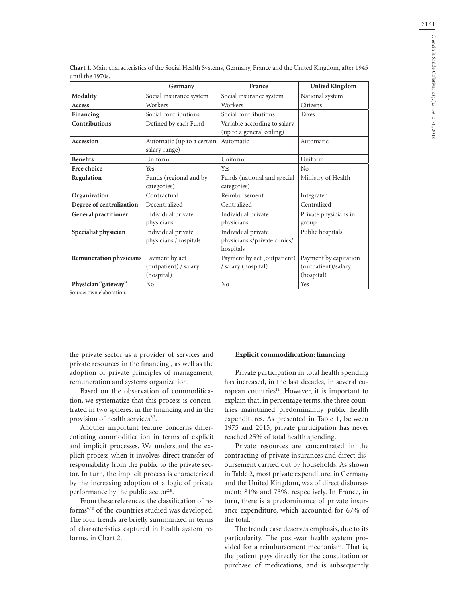|                             | Germany                                     | France                                                           | <b>United Kingdom</b>          |
|-----------------------------|---------------------------------------------|------------------------------------------------------------------|--------------------------------|
| Modality                    | Social insurance system                     | Social insurance system                                          | National system                |
| <b>Access</b>               | Workers                                     | Workers                                                          | Citizens                       |
| Financing                   | Social contributions                        | Social contributions                                             | <b>Taxes</b>                   |
| Contributions               | Defined by each Fund                        | Variable according to salary<br>(up to a general ceiling)        | -------                        |
| Accession                   | Automatic (up to a certain<br>salary range) | Automatic                                                        | Automatic                      |
| <b>Benefits</b>             | Uniform                                     | Uniform                                                          | Uniform                        |
| Free choice                 | Yes                                         | Yes                                                              | N <sub>0</sub>                 |
| Regulation                  | Funds (regional and by                      | Funds (national and special                                      | Ministry of Health             |
|                             | categories)                                 | categories)                                                      |                                |
| Organization                | Contractual                                 | Reimbursement                                                    | Integrated                     |
| Degree of centralization    | Decentralized                               | Centralized                                                      | Centralized                    |
| <b>General practitioner</b> | Individual private<br>physicians            | Individual private<br>physicians                                 | Private physicians in<br>group |
| Specialist physician        | Individual private<br>physicians /hospitals | Individual private<br>physicians s/private clinics/<br>hospitals | Public hospitals               |
| Remuneration physicians     | Payment by act                              | Payment by act (outpatient)                                      | Payment by capitation          |
|                             | (outpatient) / salary                       | / salary (hospital)                                              | (outpatient)/salary            |
|                             | (hospital)                                  |                                                                  | (hospital)                     |
| Physician "gateway"         | N <sub>0</sub>                              | No                                                               | Yes                            |

**Chart 1**. Main characteristics of the Social Health Systems, Germany, France and the United Kingdom, after 1945 until the 1970s.

Source: own elaboration.

the private sector as a provider of services and private resources in the financing , as well as the adoption of private principles of management, remuneration and systems organization.

Based on the observation of commodification, we systematize that this process is concentrated in two spheres: in the financing and in the provision of health services<sup>2,3</sup>.

Another important feature concerns differentiating commodification in terms of explicit and implicit processes. We understand the explicit process when it involves direct transfer of responsibility from the public to the private sector. In turn, the implicit process is characterized by the increasing adoption of a logic of private performance by the public sector<sup>2,8</sup>.

From these references, the classification of reforms9,10 of the countries studied was developed. The four trends are briefly summarized in terms of characteristics captured in health system reforms, in Chart 2.

### **Explicit commodification: financing**

Private participation in total health spending has increased, in the last decades, in several european countries<sup>11</sup>. However, it is important to explain that, in percentage terms, the three countries maintained predominantly public health expenditures. As presented in Table 1, between 1975 and 2015, private participation has never reached 25% of total health spending.

Private resources are concentrated in the contracting of private insurances and direct disbursement carried out by households. As shown in Table 2, most private expenditure, in Germany and the United Kingdom, was of direct disbursement: 81% and 73%, respectively. In France, in turn, there is a predominance of private insurance expenditure, which accounted for 67% of the total.

The french case deserves emphasis, due to its particularity. The post-war health system provided for a reimbursement mechanism. That is, the patient pays directly for the consultation or purchase of medications, and is subsequently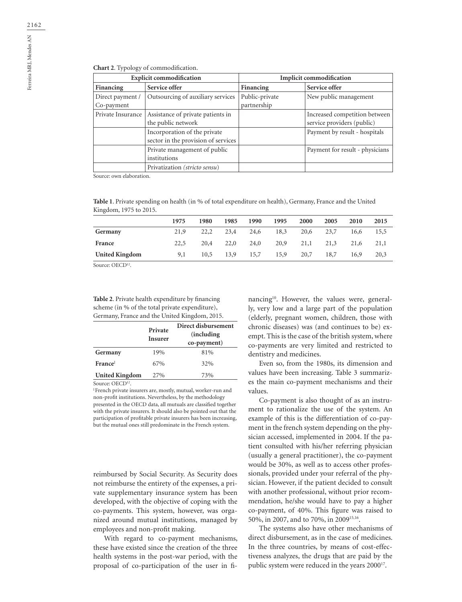|  | <b>Chart 2.</b> Typology of commodification. |  |
|--|----------------------------------------------|--|
|--|----------------------------------------------|--|

| <b>Explicit commodification</b> |                                                                     | <b>Implicit commodification</b> |                                                             |  |
|---------------------------------|---------------------------------------------------------------------|---------------------------------|-------------------------------------------------------------|--|
| Financing                       | Service offer                                                       | Financing                       | Service offer                                               |  |
| Direct payment /<br>Co-payment  | Outsourcing of auxiliary services                                   | Public-private<br>partnership   | New public management                                       |  |
| Private Insurance               | Assistance of private patients in<br>the public network             |                                 | Increased competition between<br>service providers (public) |  |
|                                 | Incorporation of the private<br>sector in the provision of services |                                 | Payment by result - hospitals                               |  |
|                                 | Private management of public<br>institutions                        |                                 | Payment for result - physicians                             |  |
|                                 | Privatization (stricto sensu)                                       |                                 |                                                             |  |

Source: own elaboration.

**Table 1**. Private spending on health (in % of total expenditure on health), Germany, France and the United Kingdom, 1975 to 2015.

|                       | 1975 | 1980 | 1985 | 1990 | 1995 | 2000 | 2005 | 2010 | 2015 |
|-----------------------|------|------|------|------|------|------|------|------|------|
| Germany               | 21,9 | 22.2 | 23,4 | 24,6 | 18,3 | 20,6 | 23,7 | 16,6 | 15,5 |
| France                | 22.5 | 20,4 | 22,0 | 24,0 | 20,9 | 21,1 | 21,3 | 21,6 | 21,1 |
| <b>United Kingdom</b> | 9,1  | 10,5 | 13,9 | 15,7 | 15,9 | 20,7 | 18.7 | 16,9 | 20,3 |

Source: OECD<sup>12</sup>.

**Table 2**. Private health expenditure by financing scheme (in % of the total private expenditure), Germany, France and the United Kingdom, 2015.

|                       | Private<br><b>Insurer</b> | Direct disbursement<br><i>(including)</i><br>co-payment) |
|-----------------------|---------------------------|----------------------------------------------------------|
| Germany               | 19%                       | 81%                                                      |
| France                | 67%                       | 32%                                                      |
| <b>United Kingdom</b> | 27%                       | 73%                                                      |

Source: OECD<sup>12</sup>.<br><sup>I</sup> French private insurers are, mostly, mutual, worker-run and non-profit institutions. Nevertheless, by the methodology presented in the OECD data, all mutuals are classified together with the private insurers. It should also be pointed out that the participation of profitable private insurers has been increasing, but the mutual ones still predominate in the French system.

reimbursed by Social Security. As Security does not reimburse the entirety of the expenses, a private supplementary insurance system has been developed, with the objective of coping with the co-payments. This system, however, was organized around mutual institutions, managed by employees and non-profit making.

With regard to co-payment mechanisms, these have existed since the creation of the three health systems in the post-war period, with the proposal of co-participation of the user in financing<sup>10</sup>. However, the values were, generally, very low and a large part of the population (elderly, pregnant women, children, those with chronic diseases) was (and continues to be) exempt. This is the case of the british system, where co-payments are very limited and restricted to dentistry and medicines.

Even so, from the 1980s, its dimension and values have been increasing. Table 3 summarizes the main co-payment mechanisms and their values.

Co-payment is also thought of as an instrument to rationalize the use of the system. An example of this is the differentiation of co-payment in the french system depending on the physician accessed, implemented in 2004. If the patient consulted with his/her referring physician (usually a general practitioner), the co-payment would be 30%, as well as to access other professionals, provided under your referral of the physician. However, if the patient decided to consult with another professional, without prior recommendation, he/she would have to pay a higher co-payment, of 40%. This figure was raised to 50%, in 2007, and to 70%, in 200915,16.

The systems also have other mechanisms of direct disbursement, as in the case of medicines. In the three countries, by means of cost-effectiveness analyzes, the drugs that are paid by the public system were reduced in the years 2000<sup>17</sup>.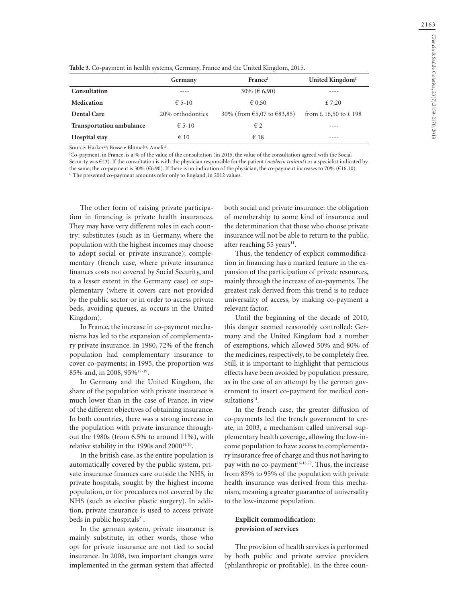| Table 3. Co-payment in health systems, Germany, France and the United Kingdom, 2015. |  |  |
|--------------------------------------------------------------------------------------|--|--|
|--------------------------------------------------------------------------------------|--|--|

|                                 | Germany          | France                          | United Kingdom <sup>II</sup>                        |  |
|---------------------------------|------------------|---------------------------------|-----------------------------------------------------|--|
| Consultation                    |                  | 30% ( $\in$ 6,90)               |                                                     |  |
| <b>Medication</b>               | $E$ 5-10         | $\epsilon$ 0.50                 | £ 7,20                                              |  |
| Dental Care                     | 20% orthodontics | 30% (from $65,07$ to $683,85$ ) | from $\text{\pounds}$ 16,50 to $\text{\pounds}$ 198 |  |
| <b>Transportation ambulance</b> | $\epsilon$ 5-10  | $\epsilon$ 2                    |                                                     |  |
| Hospital stay                   | $\epsilon$ 10    | $\epsilon$ 18                   |                                                     |  |

Source: Harker<sup>13</sup>; Busse e Blümel<sup>14</sup>; Ameli<sup>15</sup>.

<sup>I</sup>Co-payment, in France, is a % of the value of the consultation (in 2015, the value of the consultation agreed with the Social Security was €23). If the consultation is with the physician responsible for the patient (*médecin traitant*) or a specialist indicated by the same, the co-payment is 30% (€6.90). If there is no indication of the physician, the co-payment increases to 70% (€16.10). If The presented co-payment amounts refer only to England, in 2012 values.

The other form of raising private participation in financing is private health insurances. They may have very different roles in each country: substitutes (such as in Germany, where the population with the highest incomes may choose to adopt social or private insurance); complementary (french case, where private insurance finances costs not covered by Social Security, and to a lesser extent in the Germany case) or supplementary (where it covers care not provided by the public sector or in order to access private beds, avoiding queues, as occurs in the United Kingdom).

In France, the increase in co-payment mechanisms has led to the expansion of complementary private insurance. In 1980, 72% of the french population had complementary insurance to cover co-payments; in 1995, the proportion was 85% and, in 2008, 95%17-19.

In Germany and the United Kingdom, the share of the population with private insurance is much lower than in the case of France, in view of the different objectives of obtaining insurance. In both countries, there was a strong increase in the population with private insurance throughout the 1980s (from 6.5% to around 11%), with relative stability in the 1990s and 2000<sup>14,20</sup>.

In the british case, as the entire population is automatically covered by the public system, private insurance finances care outside the NHS, in private hospitals, sought by the highest income population, or for procedures not covered by the NHS (such as elective plastic surgery). In addition, private insurance is used to access private beds in public hospitals $21$ .

In the german system, private insurance is mainly substitute, in other words, those who opt for private insurance are not tied to social insurance. In 2008, two important changes were implemented in the german system that affected both social and private insurance: the obligation of membership to some kind of insurance and the determination that those who choose private insurance will not be able to return to the public, after reaching 55 years $11$ .

Thus, the tendency of explicit commodification in financing has a marked feature in the expansion of the participation of private resources, mainly through the increase of co-payments. The greatest risk derived from this trend is to reduce universality of access, by making co-payment a relevant factor.

Until the beginning of the decade of 2010, this danger seemed reasonably controlled: Germany and the United Kingdom had a number of exemptions, which allowed 50% and 80% of the medicines, respectively, to be completely free. Still, it is important to highlight that pernicious effects have been avoided by population pressure, as in the case of an attempt by the german government to insert co-payment for medical consultations<sup>14</sup>.

In the french case, the greater diffusion of co-payments led the french government to create, in 2003, a mechanism called universal supplementary health coverage, allowing the low-income population to have access to complementary insurance free of charge and thus not having to pay with no co-payment<sup>16-18,22</sup>. Thus, the increase from 85% to 95% of the population with private health insurance was derived from this mechanism, meaning a greater guarantee of universality to the low-income population.

## **Explicit commodification: provision of services**

The provision of health services is performed by both public and private service providers (philanthropic or profitable). In the three coun-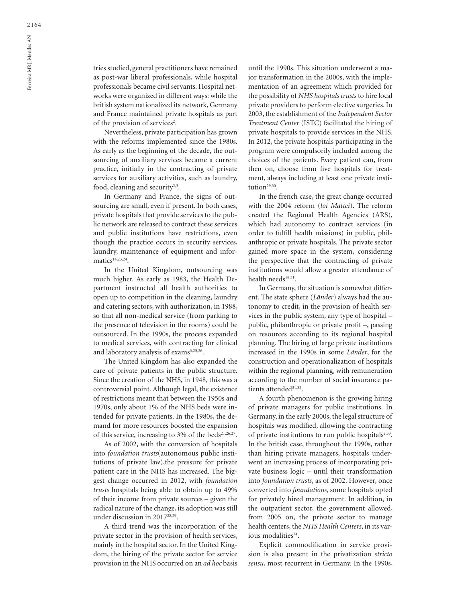tries studied, general practitioners have remained as post-war liberal professionals, while hospital professionals became civil servants. Hospital networks were organized in different ways: while the british system nationalized its network, Germany and France maintained private hospitals as part of the provision of services<sup>2</sup>.

Nevertheless, private participation has grown with the reforms implemented since the 1980s. As early as the beginning of the decade, the outsourcing of auxiliary services became a current practice, initially in the contracting of private services for auxiliary activities, such as laundry, food, cleaning and security<sup>2,3</sup>.

In Germany and France, the signs of outsourcing are small, even if present. In both cases, private hospitals that provide services to the public network are released to contract these services and public institutions have restrictions, even though the practice occurs in security services, laundry, maintenance of equipment and informatics<sup>14,23,24</sup>.

In the United Kingdom, outsourcing was much higher. As early as 1983, the Health Department instructed all health authorities to open up to competition in the cleaning, laundry and catering sectors, with authorization, in 1988, so that all non-medical service (from parking to the presence of television in the rooms) could be outsourced. In the 1990s, the process expanded to medical services, with contracting for clinical and laboratory analysis of exams<sup>3,25,26</sup>.

The United Kingdom has also expanded the care of private patients in the public structure. Since the creation of the NHS, in 1948, this was a controversial point. Although legal, the existence of restrictions meant that between the 1950s and 1970s, only about 1% of the NHS beds were intended for private patients. In the 1980s, the demand for more resources boosted the expansion of this service, increasing to 3% of the beds<sup>21,26,27</sup>.

As of 2002, with the conversion of hospitals into *foundation trusts*(autonomous public institutions of private law),the pressure for private patient care in the NHS has increased. The biggest change occurred in 2012, with *foundation trusts* hospitals being able to obtain up to 49% of their income from private sources – given the radical nature of the change, its adoption was still under discussion in 2017<sup>28,29</sup>.

A third trend was the incorporation of the private sector in the provision of health services, mainly in the hospital sector. In the United Kingdom, the hiring of the private sector for service provision in the NHS occurred on an *ad hoc* basis

until the 1990s. This situation underwent a major transformation in the 2000s, with the implementation of an agreement which provided for the possibility of *NHS hospitals trusts* to hire local private providers to perform elective surgeries. In 2003, the establishment of the *Independent Sector Treatment Center* (ISTC) facilitated the hiring of private hospitals to provide services in the NHS. In 2012, the private hospitals participating in the program were compulsorily included among the choices of the patients. Every patient can, from then on, choose from five hospitals for treatment, always including at least one private institution<sup>29,30</sup>.

In the french case, the great change occurred with the 2004 reform (*loi Mattei*). The reform created the Regional Health Agencies (ARS), which had autonomy to contract services (in order to fulfill health missions) in public, philanthropic or private hospitals. The private sector gained more space in the system, considering the perspective that the contracting of private institutions would allow a greater attendance of health needs<sup>18,31</sup>.

In Germany, the situation is somewhat different. The state sphere (*Länder*) always had the autonomy to credit, in the provision of health services in the public system, any type of hospital – public, philanthropic or private profit –, passing on resources according to its regional hospital planning. The hiring of large private institutions increased in the 1990s in some *Länder*, for the construction and operationalization of hospitals within the regional planning, with remuneration according to the number of social insurance patients attended<sup>31,32</sup>.

A fourth phenomenon is the growing hiring of private managers for public institutions. In Germany, in the early 2000s, the legal structure of hospitals was modified, allowing the contracting of private institutions to run public hospitals $2,33$ . In the british case, throughout the 1990s, rather than hiring private managers, hospitals underwent an increasing process of incorporating private business logic – until their transformation into *foundation trusts*, as of 2002. However, once converted into *foundations*, some hospitals opted for privately hired management. In addition, in the outpatient sector, the government allowed, from 2005 on, the private sector to manage health centers, the *NHS Health Centers*, in its various modalities $34$ .

Explicit commodification in service provision is also present in the privatization *stricto sensu*, most recurrent in Germany. In the 1990s,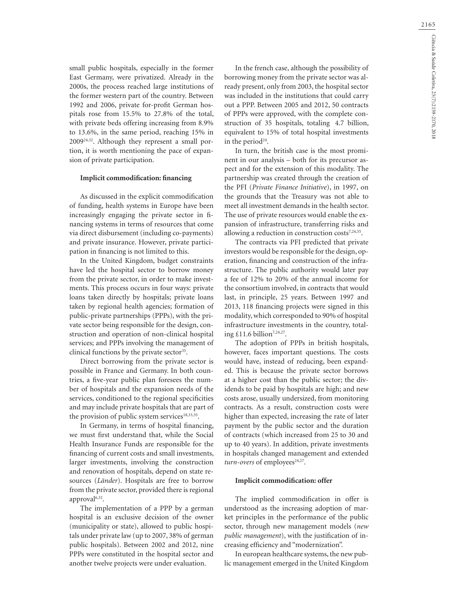small public hospitals, especially in the former East Germany, were privatized. Already in the 2000s, the process reached large institutions of the former western part of the country. Between 1992 and 2006, private for-profit German hospitals rose from 15.5% to 27.8% of the total, with private beds offering increasing from 8.9% to 13.6%, in the same period, reaching 15% in 200924,32. Although they represent a small portion, it is worth mentioning the pace of expansion of private participation.

#### **Implicit commodification: financing**

As discussed in the explicit commodification of funding, health systems in Europe have been increasingly engaging the private sector in financing systems in terms of resources that come via direct disbursement (including co-payments) and private insurance. However, private participation in financing is not limited to this.

In the United Kingdom, budget constraints have led the hospital sector to borrow money from the private sector, in order to make investments. This process occurs in four ways: private loans taken directly by hospitals; private loans taken by regional health agencies; formation of public-private partnerships (PPPs), with the private sector being responsible for the design, construction and operation of non-clinical hospital services; and PPPs involving the management of clinical functions by the private sector $35$ .

Direct borrowing from the private sector is possible in France and Germany. In both countries, a five-year public plan foresees the number of hospitals and the expansion needs of the services, conditioned to the regional specificities and may include private hospitals that are part of the provision of public system services $18,33,35$ .

In Germany, in terms of hospital financing, we must first understand that, while the Social Health Insurance Funds are responsible for the financing of current costs and small investments, larger investments, involving the construction and renovation of hospitals, depend on state resources (*Länder*). Hospitals are free to borrow from the private sector, provided there is regional approval<sup>6,32</sup>.

The implementation of a PPP by a german hospital is an exclusive decision of the owner (municipality or state), allowed to public hospitals under private law (up to 2007, 38% of german public hospitals). Between 2002 and 2012, nine PPPs were constituted in the hospital sector and another twelve projects were under evaluation.

In the french case, although the possibility of borrowing money from the private sector was already present, only from 2003, the hospital sector was included in the institutions that could carry out a PPP. Between 2005 and 2012, 50 contracts of PPPs were approved, with the complete construction of 35 hospitals, totaling €4.7 billion, equivalent to 15% of total hospital investments in the period<sup>24</sup>.

In turn, the british case is the most prominent in our analysis – both for its precursor aspect and for the extension of this modality. The partnership was created through the creation of the PFI (*Private Finance Initiative*), in 1997, on the grounds that the Treasury was not able to meet all investment demands in the health sector. The use of private resources would enable the expansion of infrastructure, transferring risks and allowing a reduction in construction costs $7,24,35$ .

The contracts via PFI predicted that private investors would be responsible for the design, operation, financing and construction of the infrastructure. The public authority would later pay a fee of 12% to 20% of the annual income for the consortium involved, in contracts that would last, in principle, 25 years. Between 1997 and 2013, 118 financing projects were signed in this modality, which corresponded to 90% of hospital infrastructure investments in the country, totaling  $£11.6$  billion<sup>7,24,27</sup>.

The adoption of PPPs in british hospitals, however, faces important questions. The costs would have, instead of reducing, been expanded. This is because the private sector borrows at a higher cost than the public sector; the dividends to be paid by hospitals are high; and new costs arose, usually undersized, from monitoring contracts. As a result, construction costs were higher than expected, increasing the rate of later payment by the public sector and the duration of contracts (which increased from 25 to 30 and up to 40 years). In addition, private investments in hospitals changed management and extended turn-overs of employees<sup>24,27</sup>.

#### **Implicit commodification: offer**

The implied commodification in offer is understood as the increasing adoption of market principles in the performance of the public sector, through new management models (*new public management*), with the justification of increasing efficiency and "modernization".

In european healthcare systems, the new public management emerged in the United Kingdom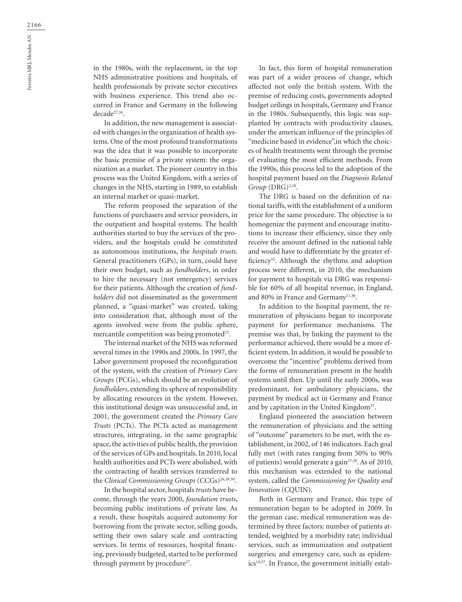in the 1980s, with the replacement, in the top NHS administrative positions and hospitals, of health professionals by private sector executives with business experience. This trend also occurred in France and Germany in the following decade27,36.

In addition, the new management is associated with changes in the organization of health systems. One of the most profound transformations was the idea that it was possible to incorporate the basic premise of a private system: the organization as a market. The pioneer country in this process was the United Kingdom, with a series of changes in the NHS, starting in 1989, to establish an internal market or quasi-market.

The reform proposed the separation of the functions of purchasers and service providers, in the outpatient and hospital systems. The health authorities started to buy the services of the providers, and the hospitals could be constituted as autonomous institutions, the *hospitals trusts*. General practitioners (GPs), in turn, could have their own budget, such as *fundholders*, in order to hire the necessary (not emergency) services for their patients. Although the creation of *fundholders* did not disseminated as the government planned, a "quasi-market" was created, taking into consideration that, although most of the agents involved were from the public sphere, mercantile competition was being promoted<sup>25</sup>.

The internal market of the NHS was reformed several times in the 1990s and 2000s. In 1997, the Labor government proposed the reconfiguration of the system, with the creation of *Primary Care Groups* (PCGs), which should be an evolution of *fundholders*, extending its sphere of responsibility by allocating resources in the system. However, this institutional design was unsuccessful and, in 2001, the government created the *Primary Care Trusts* (PCTs). The PCTs acted as management structures, integrating, in the same geographic space, the activities of public health, the provision of the services of GPs and hospitals. In 2010, local health authorities and PCTs were abolished, with the contracting of health services transferred to the *Clinical Commissioning Groups* (CCGs)<sup>26,28,30</sup>.

In the hospital sector, hospitals *trusts* have become, through the years 2000, *foundation trusts*, becoming public institutions of private law. As a result, these hospitals acquired autonomy for borrowing from the private sector, selling goods, setting their own salary scale and contracting services. In terms of resources, hospital financing, previously budgeted, started to be performed through payment by procedure<sup>27</sup>.

In fact, this form of hospital remuneration was part of a wider process of change, which affected not only the british system. With the premise of reducing costs, governments adopted budget ceilings in hospitals, Germany and France in the 1980s. Subsequently, this logic was supplanted by contracts with productivity clauses, under the american influence of the principles of "medicine based in evidence", in which the choices of health treatments went through the premise of evaluating the most efficient methods. From the 1990s, this process led to the adoption of the hospital payment based on the *Diagnosis Related Group* (DRG)<sup>2,18</sup>.

The DRG is based on the definition of national tariffs, with the establishment of a uniform price for the same procedure. The objective is to homogenize the payment and encourage institutions to increase their efficiency, since they only receive the amount defined in the national table and would have to differentiate by the greater efficiency32. Although the rhythms and adoption process were different, in 2010, the mechanism for payment to hospitals via DRG was responsible for 60% of all hospital revenue, in England, and 80% in France and Germany<sup>11,30</sup>.

In addition to the hospital payment, the remuneration of physicians began to incorporate payment for performance mechanisms. The premise was that, by linking the payment to the performance achieved, there would be a more efficient system. In addition, it would be possible to overcome the "incentive" problems derived from the forms of remuneration present in the health systems until then. Up until the early 2000s, was predominant, for ambulatory physicians, the payment by medical act in Germany and France and by capitation in the United Kingdom<sup>37</sup>.

England pioneered the association between the remuneration of physicians and the setting of "outcome" parameters to be met, with the establishment, in 2002, of 146 indicators. Each goal fully met (with rates ranging from 50% to 90% of patients) would generate a gain  $37,38$ . As of 2010, this mechanism was extended to the national system, called the *Commissioning for Quality and Innovation* (CQUIN).

Both in Germany and France, this type of remuneration began to be adopted in 2009. In the german case, medical remuneration was determined by three factors: number of patients attended, weighted by a morbidity rate; individual services, such as immunization and outpatient surgeries; and emergency care, such as epidem $ics<sup>14,37</sup>$ . In France, the government initially estab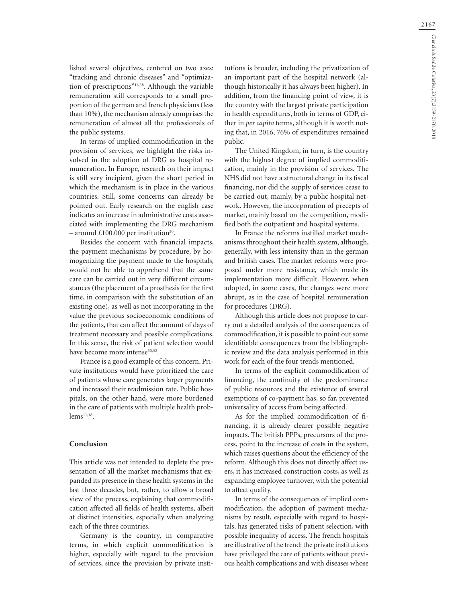lished several objectives, centered on two axes: "tracking and chronic diseases" and "optimization of prescriptions"18,38. Although the variable remuneration still corresponds to a small proportion of the german and french physicians (less than 10%), the mechanism already comprises the remuneration of almost all the professionals of the public systems.

In terms of implied commodification in the provision of services, we highlight the risks involved in the adoption of DRG as hospital remuneration. In Europe, research on their impact is still very incipient, given the short period in which the mechanism is in place in the various countries. Still, some concerns can already be pointed out. Early research on the english case indicates an increase in administrative costs associated with implementing the DRG mechanism – around £100.000 per institution<sup>30</sup>.

Besides the concern with financial impacts, the payment mechanisms by procedure, by homogenizing the payment made to the hospitals, would not be able to apprehend that the same care can be carried out in very different circumstances (the placement of a prosthesis for the first time, in comparison with the substitution of an existing one), as well as not incorporating in the value the previous socioeconomic conditions of the patients, that can affect the amount of days of treatment necessary and possible complications. In this sense, the risk of patient selection would have become more intense<sup>30,32</sup>.

France is a good example of this concern. Private institutions would have prioritized the care of patients whose care generates larger payments and increased their readmission rate. Public hospitals, on the other hand, were more burdened in the care of patients with multiple health prob $lems^{11,18}$ .

### **Conclusion**

This article was not intended to deplete the presentation of all the market mechanisms that expanded its presence in these health systems in the last three decades, but, rather, to allow a broad view of the process, explaining that commodification affected all fields of health systems, albeit at distinct intensities, especially when analyzing each of the three countries.

Germany is the country, in comparative terms, in which explicit commodification is higher, especially with regard to the provision of services, since the provision by private institutions is broader, including the privatization of an important part of the hospital network (although historically it has always been higher). In addition, from the financing point of view, it is the country with the largest private participation in health expenditures, both in terms of GDP, either in *per capita* terms, although it is worth noting that, in 2016, 76% of expenditures remained public.

The United Kingdom, in turn, is the country with the highest degree of implied commodification, mainly in the provision of services. The NHS did not have a structural change in its fiscal financing, nor did the supply of services cease to be carried out, mainly, by a public hospital network. However, the incorporation of precepts of market, mainly based on the competition, modified both the outpatient and hospital systems.

In France the reforms instilled market mechanisms throughout their health system, although, generally, with less intensity than in the german and british cases. The market reforms were proposed under more resistance, which made its implementation more difficult. However, when adopted, in some cases, the changes were more abrupt, as in the case of hospital remuneration for procedures (DRG).

Although this article does not propose to carry out a detailed analysis of the consequences of commodification, it is possible to point out some identifiable consequences from the bibliographic review and the data analysis performed in this work for each of the four trends mentioned.

In terms of the explicit commodification of financing, the continuity of the predominance of public resources and the existence of several exemptions of co-payment has, so far, prevented universality of access from being affected.

As for the implied commodification of financing, it is already clearer possible negative impacts. The british PPPs, precursors of the process, point to the increase of costs in the system, which raises questions about the efficiency of the reform. Although this does not directly affect users, it has increased construction costs, as well as expanding employee turnover, with the potential to affect quality.

In terms of the consequences of implied commodification, the adoption of payment mechanisms by result, especially with regard to hospitals, has generated risks of patient selection, with possible inequality of access. The french hospitals are illustrative of the trend: the private institutions have privileged the care of patients without previous health complications and with diseases whose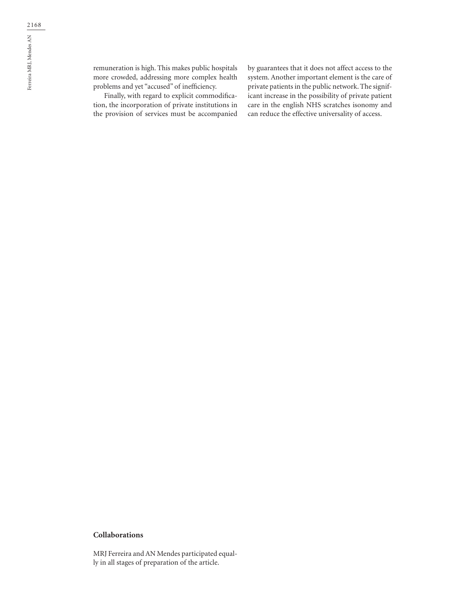remuneration is high. This makes public hospitals more crowded, addressing more complex health problems and yet "accused" of inefficiency.

Finally, with regard to explicit commodification, the incorporation of private institutions in the provision of services must be accompanied by guarantees that it does not affect access to the system. Another important element is the care of private patients in the public network. The significant increase in the possibility of private patient care in the english NHS scratches isonomy and can reduce the effective universality of access.

## **Collaborations**

MRJ Ferreira and AN Mendes participated equally in all stages of preparation of the article.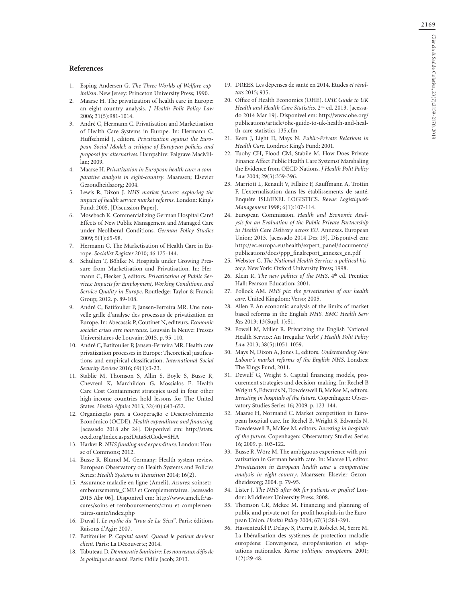#### **References**

- 1. Esping-Andersen G. *The Three Worlds of Welfare capitalism*. New Jersey: Princeton University Press; 1990.
- 2. Maarse H. The privatization of health care in Europe: an eight-country analysis. *J Health Polit Policy Law*  2006; 31(5):981-1014.
- 3. André C, Hermann C. Privatisation and Marketisation of Health Care Systems in Europe. In: Hermann C, Huffschmid J, editors. *Privatization against the European Social Model: a critique of European policies and proposal for alternatives*. Hampshire: Palgrave MacMillan; 2009.
- 4. Maarse H. *Privatization in European health care: a comparative analysis in eight-country*. Maarssen; Elsevier Gezondheidszorg; 2004.
- 5. Lewis R, Dixon J. *NHS market futures: exploring the impact of health service market reforms*. London: King's Fund; 2005. [Discussion Paper].
- 6. Mosebach K. Commercializing German Hospital Care? Effects of New Public Management and Managed Care under Neoliberal Conditions. *German Policy Studies* 2009; 5(1):65-98.
- 7. Hermann C. The Marketisation of Health Care in Europe. *Socialist Register* 2010; 46:125-144.
- 8. Schulten T, Böhlke N. Hospitals under Growing Pressure from Marketisation and Privatisation. In: Hermann C, Flecker J, editors. *Privatization of Public Services: Impacts for Employment, Working Conditions, and Service Quality in Europe*. Routledge: Taylor & Francis Group; 2012. p. 89-108.
- 9. André C, Batifoulier P, Jansen-Ferreira MR. Une nouvelle grille d'analyse des processus de privatization en Europe. In: Abecassis P, Coutinet N, editeurs. *Economie sociale: crises etre nouveaux*. Louvain la Neuve: Presses Universitaires de Louvain; 2015. p. 95-110.
- 10. André C, Batifoulier P, Jansen-Ferreira MR. Health care privatization processes in Europe: Theoretical justifications and empirical classification. *International Social Security Review* 2016; 69(1):3-23.
- 11. Stablie M, Thomson S, Allin S, Boyle S, Busse R, Chevreul K, Marchildon G, Mossialos E. Health Care Cost Containment strategies used in four other high-income countries hold lessons for The United States. *Health Affairs* 2013; 32(40):643-652.
- 12. Organização para a Cooperação e Desenvolvimento Económico (OCDE). *Health expenditure and financing*. [acessado 2018 abr 24]. Disponível em: http://stats. oecd.org/Index.aspx?DataSetCode=SHA
- 13. Harker R. *NHS funding and expenditure*. London: House of Commons; 2012.
- 14. Busse R, Blümel M. Germany: Health system review. European Observatory on Health Systems and Policies Series: *Health Systems in Transition* 2014; 16(2).
- 15. Assurance maladie en ligne (Ameli). *Assures*: soinsetremboursements\_CMU et Complementaires. [acessado 2015 Abr 06]. Disponível em: http://www.ameli.fr/assures/soins-et-remboursements/cmu-et-complementaires-sante/index.php
- 16. Duval J. *Le mythe du "trou de La Sécu"*. Paris: éditions Raisons d'Agir; 2007.
- 17. Batifoulier P. *Capital santé. Quand le patient devient client*. Paris: La Découverte; 2014.
- 18. Tabuteau D. *Démocratie Sanitaire: Les nouveaux défis de la politique de santé*. Paris: Odile Jacob; 2013.
- 19. DREES. Les dépenses de santé en 2014. Études *et résultats* 2015; 935.
- 20. Office of Health Economics (OHE). *OHE Guide to UK Health and Health Care Statistics*. 2nd ed. 2013. [acessado 2014 Mar 19]. Disponível em: http://www.ohe.org/ publications/article/ohe-guide-to-uk-health-and-health-care-statistics-135.cfm
- 21. Keen J, Light D, Mays N. *Public-Private Relations in Health Care*. Londres: King's Fund; 2001.
- 22. Tuohy CH, Flood CM, Stabile M. How Does Private Finance Affect Public Health Care Systems? Marshaling the Evidence from OECD Nations. *J Health Polit Policy Law* 2004; 29(3):359-396.
- 23. Marriott L, Renault V, Fillaire F, Kauffmann A, Trottin F. L'externalisation dans lês établissements de santé. Enquête ISLI/EXEL LOGISTICS. *Revue Logistique& Management* 1998; 6(1):107-114.
- 24. European Commission. *Health and Economic Analysis for an Evaluation of the Public Private Partnership in Health Care Delivery across EU*. Annexes. European Union; 2013. [acessado 2014 Dez 19]. Disponível em: http://ec.europa.eu/health/expert\_panel/documents/ publications/docs/ppp\_finalreport\_annexes\_en.pdf
- 25. Webster C. *The National Health Service: a political history*. New York: Oxford University Press; 1998.
- 26. Klein R. *The new politics of the NHS*. 4<sup>th</sup> ed. Prentice Hall: Pearson Education; 2001.
- 27. Pollock AM. *NHS pic: the privatization of our health care*. United Kingdom: Verso; 2005.
- 28. Allen P. An economic analysis of the limits of market based reforms in the English *NHS. BMC Health Serv Res* 2013; 13(Supl. 1):S1.
- 29. Powell M, Miller R. Privatizing the English National Health Service: An Irregular Verb? *J Health Polit Policy Law* 2013; 38(5):1051-1059.
- 30. Mays N, Dixon A, Jones L, editors. *Understanding New Labour's market reforms of the English NHS*. Londres: The Kings Fund; 2011.
- 31. Dewulf G, Wright S. Capital financing models, procurement strategies and decision-making. In: Rechel B Wright S, Edwards N, Dowdeswell B, McKee M, editors. *Investing in hospitals of the future.* Copenhagen: Observatory Studies Series 16; 2009. p. 123-144.
- 32. Maarse H, Normand C. Market competition in European hospital care. In: Rechel B, Wright S, Edwards N, Dowdeswell B, McKee M, editors. *Investing in hospitals of the future*. Copenhagen: Observatory Studies Series 16; 2009. p. 103-122.
- 33. Busse R, Wörz M. The ambiguous experience with privatization in German health care. In: Maarse H, editor. *Privatization in European health care: a comparative analysis in eight-country*. Maarssen: Elsevier Gezondheidszorg; 2004. p. 79-95.
- 34. Lister J. *The NHS after 60*: *for patients or profits?* London: Middlesex University Press; 2008.
- 35. Thomson CR, Mckee M. Financing and planning of public and private not-for-profit hospitals in the European Union. *Health Policy* 2004; 67(3):281-291.
- 36. Hassenteufel P, Delaye S, Pierru F, Robelet M, Serre M. La libéralisation des systèmes de protection maladie européens: Convergence, européanisation et adaptations nationales. *Revue politique européenne* 2001; 1(2):29-48.